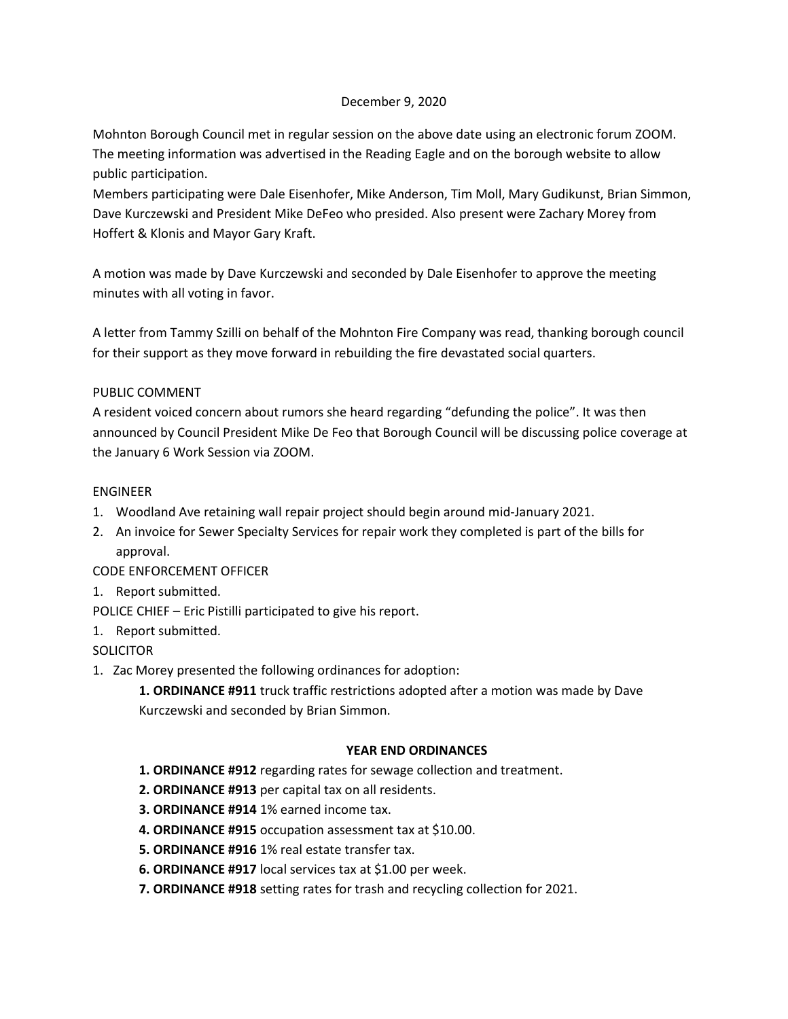## December 9, 2020

Mohnton Borough Council met in regular session on the above date using an electronic forum ZOOM. The meeting information was advertised in the Reading Eagle and on the borough website to allow public participation.

Members participating were Dale Eisenhofer, Mike Anderson, Tim Moll, Mary Gudikunst, Brian Simmon, Dave Kurczewski and President Mike DeFeo who presided. Also present were Zachary Morey from Hoffert & Klonis and Mayor Gary Kraft.

A motion was made by Dave Kurczewski and seconded by Dale Eisenhofer to approve the meeting minutes with all voting in favor.

A letter from Tammy Szilli on behalf of the Mohnton Fire Company was read, thanking borough council for their support as they move forward in rebuilding the fire devastated social quarters.

## PUBLIC COMMENT

A resident voiced concern about rumors she heard regarding "defunding the police". It was then announced by Council President Mike De Feo that Borough Council will be discussing police coverage at the January 6 Work Session via ZOOM.

## ENGINEER

- 1. Woodland Ave retaining wall repair project should begin around mid-January 2021.
- 2. An invoice for Sewer Specialty Services for repair work they completed is part of the bills for approval.

# CODE ENFORCEMENT OFFICER

# 1. Report submitted.

- POLICE CHIEF Eric Pistilli participated to give his report.
- 1. Report submitted.

# **SOLICITOR**

- 1. Zac Morey presented the following ordinances for adoption:
	- **1. ORDINANCE #911** truck traffic restrictions adopted after a motion was made by Dave Kurczewski and seconded by Brian Simmon.

### **YEAR END ORDINANCES**

- **1. ORDINANCE #912** regarding rates for sewage collection and treatment.
- **2. ORDINANCE #913** per capital tax on all residents.
- **3. ORDINANCE #914** 1% earned income tax.
- **4. ORDINANCE #915** occupation assessment tax at \$10.00.
- **5. ORDINANCE #916** 1% real estate transfer tax.
- **6. ORDINANCE #917** local services tax at \$1.00 per week.
- **7. ORDINANCE #918** setting rates for trash and recycling collection for 2021.